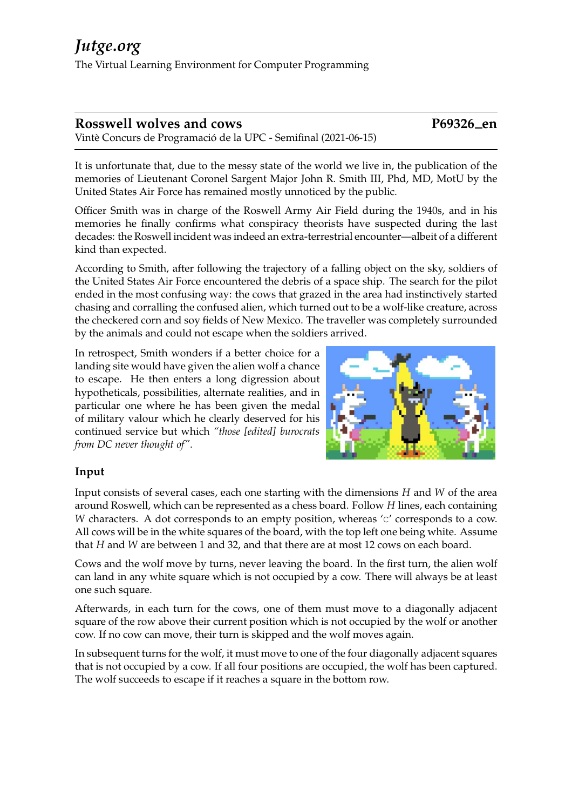## **Rosswell wolves and cows P69326 en**

Vintè Concurs de Programació de la UPC - Semifinal (2021-06-15)

It is unfortunate that, due to the messy state of the world we live in, the publication of the memories of Lieutenant Coronel Sargent Major John R. Smith III, Phd, MD, MotU by the United States Air Force has remained mostly unnoticed by the public.

Officer Smith was in charge of the Roswell Army Air Field during the 1940s, and in his memories he finally confirms what conspiracy theorists have suspected during the last decades: the Roswell incident was indeed an extra-terrestrial encounter—albeit of a different kind than expected.

According to Smith, after following the trajectory of a falling object on the sky, soldiers of the United States Air Force encountered the debris of a space ship. The search for the pilot ended in the most confusing way: the cows that grazed in the area had instinctively started chasing and corralling the confused alien, which turned out to be a wolf-like creature, across the checkered corn and soy fields of New Mexico. The traveller was completely surrounded by the animals and could not escape when the soldiers arrived.

In retrospect, Smith wonders if a better choice for a landing site would have given the alien wolf a chance to escape. He then enters a long digression about hypotheticals, possibilities, alternate realities, and in particular one where he has been given the medal of military valour which he clearly deserved for his continued service but which *"those [edited] burocrats from DC never thought of"*.



## **Input**

Input consists of several cases, each one starting with the dimensions *H* and *W* of the area around Roswell, which can be represented as a chess board. Follow *H* lines, each containing *W* characters. A dot corresponds to an empty position, whereas 'c' corresponds to a cow. All cows will be in the white squares of the board, with the top left one being white. Assume that *H* and *W* are between 1 and 32, and that there are at most 12 cows on each board.

Cows and the wolf move by turns, never leaving the board. In the first turn, the alien wolf can land in any white square which is not occupied by a cow. There will always be at least one such square.

Afterwards, in each turn for the cows, one of them must move to a diagonally adjacent square of the row above their current position which is not occupied by the wolf or another cow. If no cow can move, their turn is skipped and the wolf moves again.

In subsequent turns for the wolf, it must move to one of the four diagonally adjacent squares that is not occupied by a cow. If all four positions are occupied, the wolf has been captured. The wolf succeeds to escape if it reaches a square in the bottom row.